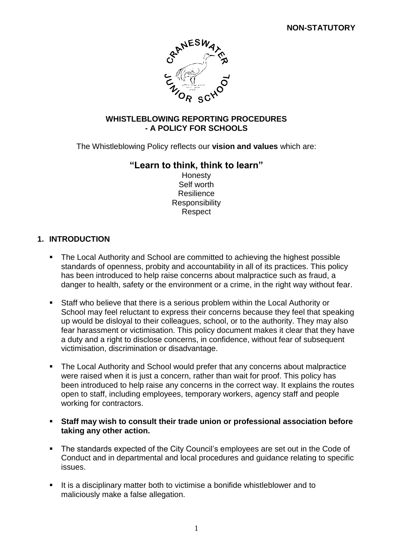

### **WHISTLEBLOWING REPORTING PROCEDURES - A POLICY FOR SCHOOLS**

The Whistleblowing Policy reflects our **vision and values** which are:

## **"Learn to think, think to learn"**

Honesty Self worth Resilience **Responsibility Respect** 

## **1. INTRODUCTION**

- The Local Authority and School are committed to achieving the highest possible standards of openness, probity and accountability in all of its practices. This policy has been introduced to help raise concerns about malpractice such as fraud, a danger to health, safety or the environment or a crime, in the right way without fear.
- Staff who believe that there is a serious problem within the Local Authority or School may feel reluctant to express their concerns because they feel that speaking up would be disloyal to their colleagues, school, or to the authority. They may also fear harassment or victimisation. This policy document makes it clear that they have a duty and a right to disclose concerns, in confidence, without fear of subsequent victimisation, discrimination or disadvantage.
- The Local Authority and School would prefer that any concerns about malpractice were raised when it is just a concern, rather than wait for proof. This policy has been introduced to help raise any concerns in the correct way. It explains the routes open to staff, including employees, temporary workers, agency staff and people working for contractors.
- **Staff may wish to consult their trade union or professional association before taking any other action.**
- **The standards expected of the City Council's employees are set out in the Code of** Conduct and in departmental and local procedures and guidance relating to specific issues.
- It is a disciplinary matter both to victimise a bonifide whistleblower and to maliciously make a false allegation.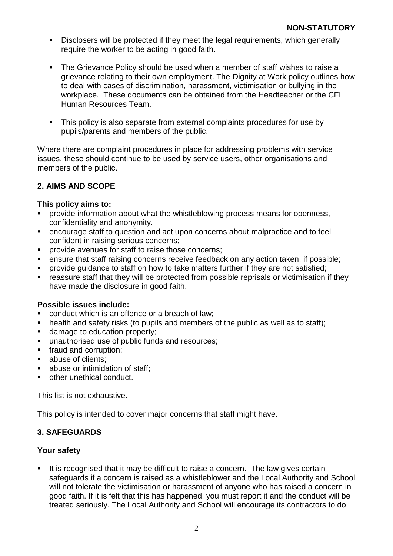- Disclosers will be protected if they meet the legal requirements, which generally require the worker to be acting in good faith.
- The Grievance Policy should be used when a member of staff wishes to raise a grievance relating to their own employment. The Dignity at Work policy outlines how to deal with cases of discrimination, harassment, victimisation or bullying in the workplace. These documents can be obtained from the Headteacher or the CFL Human Resources Team.
- This policy is also separate from external complaints procedures for use by pupils/parents and members of the public.

Where there are complaint procedures in place for addressing problems with service issues, these should continue to be used by service users, other organisations and members of the public.

## **2. AIMS AND SCOPE**

### **This policy aims to:**

- provide information about what the whistleblowing process means for openness, confidentiality and anonymity.
- encourage staff to question and act upon concerns about malpractice and to feel confident in raising serious concerns;
- **PEDIED FIGHTER INTERETATION Provide avenues for staff to raise those concerns:**
- **EXE** ensure that staff raising concerns receive feedback on any action taken, if possible;
- **PED FIGHT CONTEGE** TO staff on how to take matters further if they are not satisfied;
- reassure staff that they will be protected from possible reprisals or victimisation if they have made the disclosure in good faith.

#### **Possible issues include:**

- conduct which is an offence or a breach of law;
- health and safety risks (to pupils and members of the public as well as to staff):
- damage to education property;
- **unauthorised use of public funds and resources;**
- **fraud and corruption;**
- abuse of clients:
- **abuse or intimidation of staff:**
- **•** other unethical conduct.

This list is not exhaustive.

This policy is intended to cover major concerns that staff might have.

### **3. SAFEGUARDS**

### **Your safety**

It is recognised that it may be difficult to raise a concern. The law gives certain safeguards if a concern is raised as a whistleblower and the Local Authority and School will not tolerate the victimisation or harassment of anyone who has raised a concern in good faith. If it is felt that this has happened, you must report it and the conduct will be treated seriously. The Local Authority and School will encourage its contractors to do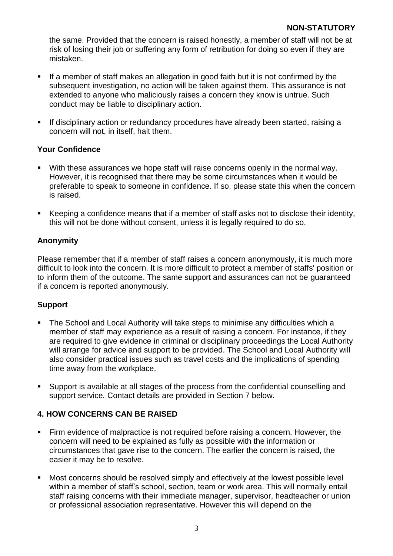the same. Provided that the concern is raised honestly, a member of staff will not be at risk of losing their job or suffering any form of retribution for doing so even if they are mistaken.

- If a member of staff makes an allegation in good faith but it is not confirmed by the subsequent investigation, no action will be taken against them. This assurance is not extended to anyone who maliciously raises a concern they know is untrue. Such conduct may be liable to disciplinary action.
- **If disciplinary action or redundancy procedures have already been started, raising a** concern will not, in itself, halt them.

## **Your Confidence**

- With these assurances we hope staff will raise concerns openly in the normal way. However, it is recognised that there may be some circumstances when it would be preferable to speak to someone in confidence. If so, please state this when the concern is raised.
- Keeping a confidence means that if a member of staff asks not to disclose their identity, this will not be done without consent, unless it is legally required to do so.

# **Anonymity**

Please remember that if a member of staff raises a concern anonymously, it is much more difficult to look into the concern. It is more difficult to protect a member of staffs' position or to inform them of the outcome. The same support and assurances can not be guaranteed if a concern is reported anonymously.

### **Support**

- **The School and Local Authority will take steps to minimise any difficulties which a** member of staff may experience as a result of raising a concern. For instance, if they are required to give evidence in criminal or disciplinary proceedings the Local Authority will arrange for advice and support to be provided. The School and Local Authority will also consider practical issues such as travel costs and the implications of spending time away from the workplace.
- Support is available at all stages of the process from the confidential counselling and support service*.* Contact details are provided in Section 7 below.

# **4. HOW CONCERNS CAN BE RAISED**

- Firm evidence of malpractice is not required before raising a concern. However, the concern will need to be explained as fully as possible with the information or circumstances that gave rise to the concern. The earlier the concern is raised, the easier it may be to resolve.
- **Most concerns should be resolved simply and effectively at the lowest possible level** within a member of staff's school, section, team or work area. This will normally entail staff raising concerns with their immediate manager, supervisor, headteacher or union or professional association representative. However this will depend on the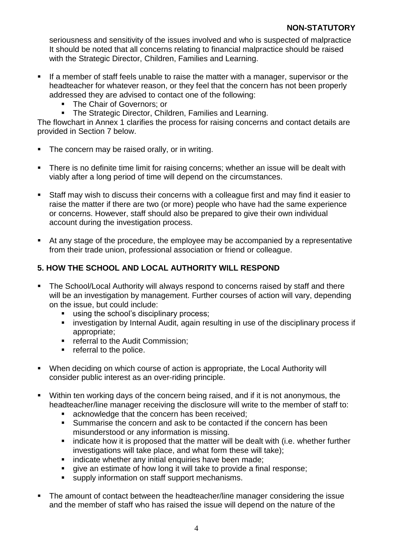seriousness and sensitivity of the issues involved and who is suspected of malpractice It should be noted that all concerns relating to financial malpractice should be raised with the Strategic Director, Children, Families and Learning.

- If a member of staff feels unable to raise the matter with a manager, supervisor or the headteacher for whatever reason, or they feel that the concern has not been properly addressed they are advised to contact one of the following:
	- The Chair of Governors; or
	- The Strategic Director, Children, Families and Learning.

The flowchart in Annex 1 clarifies the process for raising concerns and contact details are provided in Section 7 below.

- The concern may be raised orally, or in writing.
- There is no definite time limit for raising concerns; whether an issue will be dealt with viably after a long period of time will depend on the circumstances.
- Staff may wish to discuss their concerns with a colleague first and may find it easier to raise the matter if there are two (or more) people who have had the same experience or concerns. However, staff should also be prepared to give their own individual account during the investigation process.
- At any stage of the procedure, the employee may be accompanied by a representative from their trade union, professional association or friend or colleague.

## **5. HOW THE SCHOOL AND LOCAL AUTHORITY WILL RESPOND**

- The School/Local Authority will always respond to concerns raised by staff and there will be an investigation by management. Further courses of action will vary, depending on the issue, but could include:
	- using the school's disciplinary process;
	- **EXTERNITHE INTERNITY Internal Audit, again resulting in use of the disciplinary process if** appropriate;
	- **F** referral to the Audit Commission;
	- **•** referral to the police.
- When deciding on which course of action is appropriate, the Local Authority will consider public interest as an over-riding principle.
- Within ten working days of the concern being raised, and if it is not anonymous, the headteacher/line manager receiving the disclosure will write to the member of staff to:
	- **EXE** acknowledge that the concern has been received;
	- Summarise the concern and ask to be contacted if the concern has been misunderstood or any information is missing.
	- $\blacksquare$  indicate how it is proposed that the matter will be dealt with (i.e. whether further investigations will take place, and what form these will take);
	- **EXEDENT** indicate whether any initial enquiries have been made:
	- qive an estimate of how long it will take to provide a final response;
	- supply information on staff support mechanisms.
- The amount of contact between the headteacher/line manager considering the issue and the member of staff who has raised the issue will depend on the nature of the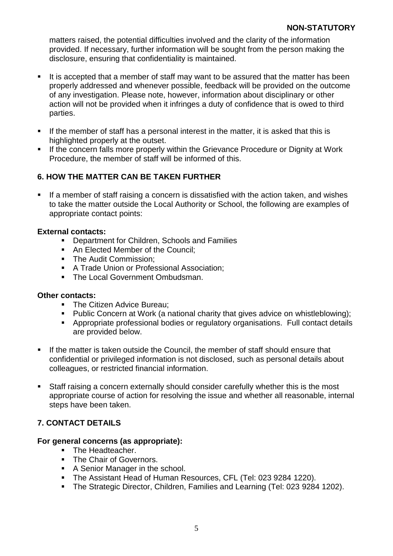matters raised, the potential difficulties involved and the clarity of the information provided. If necessary, further information will be sought from the person making the disclosure, ensuring that confidentiality is maintained.

- $\blacksquare$  It is accepted that a member of staff may want to be assured that the matter has been properly addressed and whenever possible, feedback will be provided on the outcome of any investigation. Please note, however, information about disciplinary or other action will not be provided when it infringes a duty of confidence that is owed to third parties.
- If the member of staff has a personal interest in the matter, it is asked that this is highlighted properly at the outset.
- **If the concern falls more properly within the Grievance Procedure or Dignity at Work** Procedure, the member of staff will be informed of this.

## **6. HOW THE MATTER CAN BE TAKEN FURTHER**

If a member of staff raising a concern is dissatisfied with the action taken, and wishes to take the matter outside the Local Authority or School, the following are examples of appropriate contact points:

### **External contacts:**

- **Department for Children, Schools and Families**
- An Elected Member of the Council:
- The Audit Commission:
- **A Trade Union or Professional Association;**
- The Local Government Ombudsman.

#### **Other contacts:**

- **The Citizen Advice Bureau;**
- Public Concern at Work (a national charity that gives advice on whistleblowing);
- Appropriate professional bodies or regulatory organisations. Full contact details are provided below.
- **If the matter is taken outside the Council, the member of staff should ensure that** confidential or privileged information is not disclosed, such as personal details about colleagues, or restricted financial information.
- Staff raising a concern externally should consider carefully whether this is the most appropriate course of action for resolving the issue and whether all reasonable, internal steps have been taken.

### **7. CONTACT DETAILS**

### **For general concerns (as appropriate):**

- The Headteacher.
- **The Chair of Governors.**
- A Senior Manager in the school.
- The Assistant Head of Human Resources, CFL (Tel: 023 9284 1220).
- **The Strategic Director, Children, Families and Learning (Tel: 023 9284 1202).**